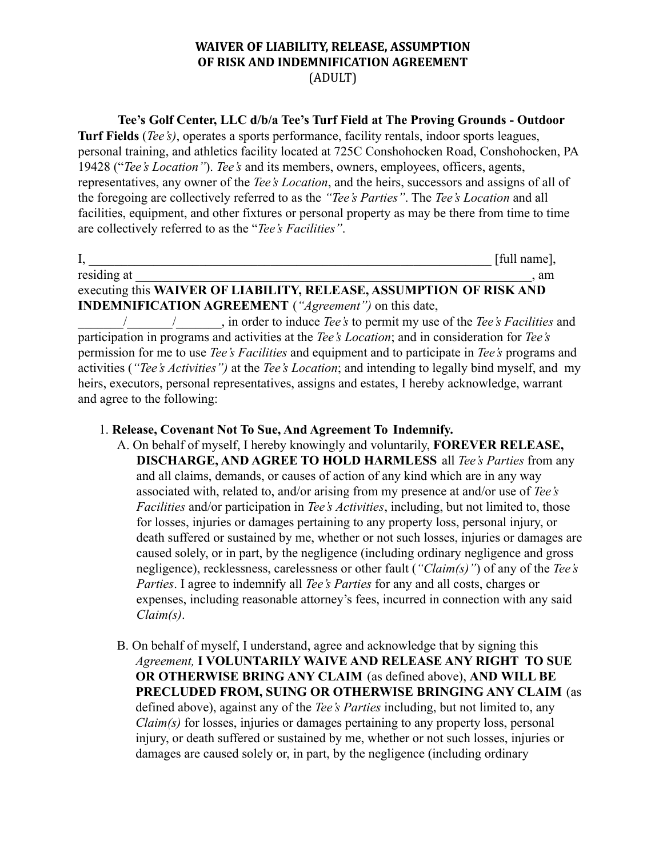### **WAIVER OF LIABILITY, RELEASE, ASSUMPTION OF RISK AND INDEMNIFICATION AGREEMENT** (ADULT)

#### **Tee's Golf Center, LLC d/b/a Tee's Turf Field at The Proving Grounds - Outdoor**

**Turf Fields** (*Tee's)*, operates a sports performance, facility rentals, indoor sports leagues, personal training, and athletics facility located at 725C Conshohocken Road, Conshohocken, PA 19428 ("*Tee's Location"*). *Tee's* and its members, owners, employees, officers, agents, representatives, any owner of the *Tee's Location*, and the heirs, successors and assigns of all of the foregoing are collectively referred to as the *"Tee's Parties"*. The *Tee's Location* and all facilities, equipment, and other fixtures or personal property as may be there from time to time are collectively referred to as the "*Tee's Facilities"*.

I, \_\_\_\_\_\_\_\_\_\_\_\_\_\_\_\_\_\_\_\_\_\_\_\_\_\_\_\_\_\_\_\_\_\_\_\_\_\_\_\_\_\_\_\_\_\_\_\_\_\_\_\_\_\_\_\_\_\_\_\_\_\_ [full name], residing at  $\Box$ executing this **WAIVER OF LIABILITY, RELEASE, ASSUMPTION OF RISK AND INDEMNIFICATION AGREEMENT** (*"Agreement")* on this date,

\_\_\_\_\_\_\_/\_\_\_\_\_\_\_/\_\_\_\_\_\_\_, in order to induce *Tee's* to permit my use of the *Tee's Facilities* and participation in programs and activities at the *Tee's Location*; and in consideration for *Tee's* permission for me to use *Tee's Facilities* and equipment and to participate in *Tee's* programs and activities (*"Tee's Activities")* at the *Tee's Location*; and intending to legally bind myself, and my heirs, executors, personal representatives, assigns and estates, I hereby acknowledge, warrant and agree to the following:

### 1. **Release, Covenant Not To Sue, And Agreement To Indemnify.**

- A. On behalf of myself, I hereby knowingly and voluntarily, **FOREVER RELEASE, DISCHARGE, AND AGREE TO HOLD HARMLESS** all *Tee's Parties* from any and all claims, demands, or causes of action of any kind which are in any way associated with, related to, and/or arising from my presence at and/or use of *Tee's Facilities* and/or participation in *Tee's Activities*, including, but not limited to, those for losses, injuries or damages pertaining to any property loss, personal injury, or death suffered or sustained by me, whether or not such losses, injuries or damages are caused solely, or in part, by the negligence (including ordinary negligence and gross negligence), recklessness, carelessness or other fault (*"Claim(s)"*) of any of the *Tee's Parties*. I agree to indemnify all *Tee's Parties* for any and all costs, charges or expenses, including reasonable attorney's fees, incurred in connection with any said *Claim(s)*.
- B. On behalf of myself, I understand, agree and acknowledge that by signing this *Agreement,* **I VOLUNTARILY WAIVE AND RELEASE ANY RIGHT TO SUE OR OTHERWISE BRING ANY CLAIM** (as defined above), **AND WILL BE PRECLUDED FROM, SUING OR OTHERWISE BRINGING ANY CLAIM** (as defined above), against any of the *Tee's Parties* including, but not limited to, any *Claim(s)* for losses, injuries or damages pertaining to any property loss, personal injury, or death suffered or sustained by me, whether or not such losses, injuries or damages are caused solely or, in part, by the negligence (including ordinary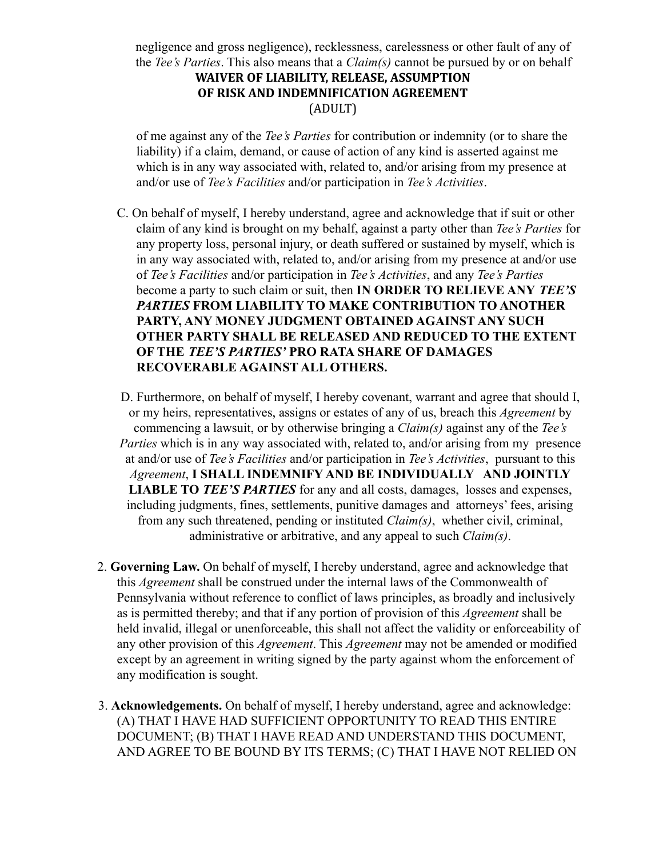negligence and gross negligence), recklessness, carelessness or other fault of any of the *Tee's Parties*. This also means that a *Claim(s)* cannot be pursued by or on behalf **WAIVER OF LIABILITY, RELEASE, ASSUMPTION OF RISK AND INDEMNIFICATION AGREEMENT** (ADULT)

of me against any of the *Tee's Parties* for contribution or indemnity (or to share the liability) if a claim, demand, or cause of action of any kind is asserted against me which is in any way associated with, related to, and/or arising from my presence at and/or use of *Tee's Facilities* and/or participation in *Tee's Activities*.

C. On behalf of myself, I hereby understand, agree and acknowledge that if suit or other claim of any kind is brought on my behalf, against a party other than *Tee's Parties* for any property loss, personal injury, or death suffered or sustained by myself, which is in any way associated with, related to, and/or arising from my presence at and/or use of *Tee's Facilities* and/or participation in *Tee's Activities*, and any *Tee's Parties* become a party to such claim or suit, then **IN ORDER TO RELIEVE ANY** *TEE'S PARTIES* **FROM LIABILITY TO MAKE CONTRIBUTION TO ANOTHER PARTY, ANY MONEY JUDGMENT OBTAINED AGAINST ANY SUCH OTHER PARTY SHALL BE RELEASED AND REDUCED TO THE EXTENT OF THE** *TEE'S PARTIES'* **PRO RATA SHARE OF DAMAGES RECOVERABLE AGAINST ALL OTHERS.**

D. Furthermore, on behalf of myself, I hereby covenant, warrant and agree that should I, or my heirs, representatives, assigns or estates of any of us, breach this *Agreement* by commencing a lawsuit, or by otherwise bringing a *Claim(s)* against any of the *Tee's Parties* which is in any way associated with, related to, and/or arising from my presence at and/or use of *Tee's Facilities* and/or participation in *Tee's Activities*, pursuant to this *Agreement*, **I SHALL INDEMNIFY AND BE INDIVIDUALLY AND JOINTLY LIABLE TO** *TEE'S PARTIES* for any and all costs, damages, losses and expenses, including judgments, fines, settlements, punitive damages and attorneys' fees, arising from any such threatened, pending or instituted *Claim(s)*, whether civil, criminal, administrative or arbitrative, and any appeal to such *Claim(s)*.

- 2. **Governing Law.** On behalf of myself, I hereby understand, agree and acknowledge that this *Agreement* shall be construed under the internal laws of the Commonwealth of Pennsylvania without reference to conflict of laws principles, as broadly and inclusively as is permitted thereby; and that if any portion of provision of this *Agreement* shall be held invalid, illegal or unenforceable, this shall not affect the validity or enforceability of any other provision of this *Agreement*. This *Agreement* may not be amended or modified except by an agreement in writing signed by the party against whom the enforcement of any modification is sought.
- 3. **Acknowledgements.** On behalf of myself, I hereby understand, agree and acknowledge: (A) THAT I HAVE HAD SUFFICIENT OPPORTUNITY TO READ THIS ENTIRE DOCUMENT; (B) THAT I HAVE READ AND UNDERSTAND THIS DOCUMENT, AND AGREE TO BE BOUND BY ITS TERMS; (C) THAT I HAVE NOT RELIED ON